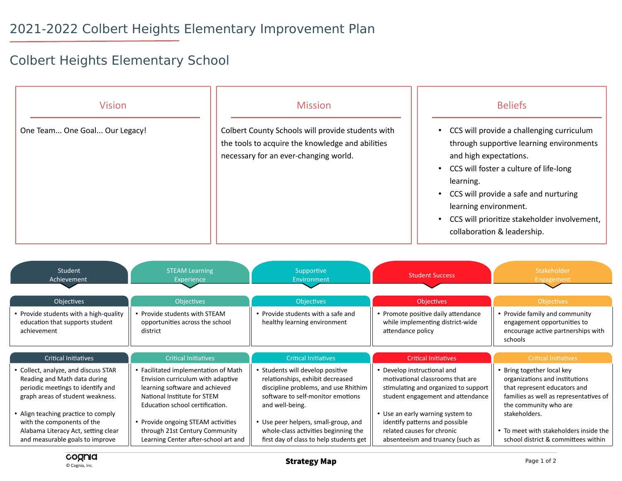## Colbert Heights Elementary School

| <b>Vision</b><br>One Team One Goal Our Legacy!                                                                                                                                                                                                                                               |                                                                                                                                                                                                                                                                                               | <b>Mission</b><br>Colbert County Schools will provide students with<br>the tools to acquire the knowledge and abilities<br>necessary for an ever-changing world.                                                                                                                                |                                                                                                                                                                                                                                                                                      | <b>Beliefs</b><br>CCS will provide a challenging curriculum<br>$\bullet$<br>through supportive learning environments<br>and high expectations.<br>CCS will foster a culture of life-long<br>learning.<br>CCS will provide a safe and nurturing<br>$\bullet$<br>learning environment.<br>CCS will prioritize stakeholder involvement,<br>$\bullet$<br>collaboration & leadership. |                                                                                                                                                                                                                                                                   |
|----------------------------------------------------------------------------------------------------------------------------------------------------------------------------------------------------------------------------------------------------------------------------------------------|-----------------------------------------------------------------------------------------------------------------------------------------------------------------------------------------------------------------------------------------------------------------------------------------------|-------------------------------------------------------------------------------------------------------------------------------------------------------------------------------------------------------------------------------------------------------------------------------------------------|--------------------------------------------------------------------------------------------------------------------------------------------------------------------------------------------------------------------------------------------------------------------------------------|----------------------------------------------------------------------------------------------------------------------------------------------------------------------------------------------------------------------------------------------------------------------------------------------------------------------------------------------------------------------------------|-------------------------------------------------------------------------------------------------------------------------------------------------------------------------------------------------------------------------------------------------------------------|
| <b>Student</b><br><b>STEAM Learning</b><br>Achievement<br>Experience                                                                                                                                                                                                                         |                                                                                                                                                                                                                                                                                               | Supportive<br><b>Student Success</b><br>Environment                                                                                                                                                                                                                                             |                                                                                                                                                                                                                                                                                      | Stakeholder<br>Engagement                                                                                                                                                                                                                                                                                                                                                        |                                                                                                                                                                                                                                                                   |
| Objectives<br>• Provide students with a high-quality<br>education that supports student<br>achievement                                                                                                                                                                                       | Objectives<br>• Provide students with STEAM<br>opportunities across the school<br>district                                                                                                                                                                                                    | Objectives<br>• Provide students with a safe and<br>healthy learning environment                                                                                                                                                                                                                | Objectives<br>• Promote positive daily attendance<br>while implementing district-wide<br>attendance policy                                                                                                                                                                           |                                                                                                                                                                                                                                                                                                                                                                                  | Objectives<br>• Provide family and community<br>engagement opportunities to<br>encourage active partnerships with<br>schools                                                                                                                                      |
| <b>Critical Initiatives</b>                                                                                                                                                                                                                                                                  | <b>Critical Initiatives</b>                                                                                                                                                                                                                                                                   | <b>Critical Initiatives</b>                                                                                                                                                                                                                                                                     | <b>Critical Initiatives</b>                                                                                                                                                                                                                                                          |                                                                                                                                                                                                                                                                                                                                                                                  | <b>Critical Initiatives</b>                                                                                                                                                                                                                                       |
| • Collect, analyze, and discuss STAR<br>Reading and Math data during<br>periodic meetings to identify and<br>graph areas of student weakness.<br>• Align teaching practice to comply<br>with the components of the<br>Alabama Literacy Act, setting clear<br>and measurable goals to improve | • Facilitated implementation of Math<br>Envision curriculum with adaptive<br>learning software and achieved<br>National Institute for STEM<br>Education school certification.<br>• Provide ongoing STEAM activities<br>through 21st Century Community<br>Learning Center after-school art and | • Students will develop positive<br>relationships, exhibit decreased<br>discipline problems, and use Rhithim<br>software to self-monitor emotions<br>and well-being.<br>• Use peer helpers, small-group, and<br>whole-class activities beginning the<br>first day of class to help students get | • Develop instructional and<br>motivational classrooms that are<br>stimulating and organized to support<br>student engagement and attendance<br>• Use an early warning system to<br>identify patterns and possible<br>related causes for chronic<br>absenteeism and truancy (such as |                                                                                                                                                                                                                                                                                                                                                                                  | • Bring together local key<br>organizations and institutions<br>that represent educators and<br>families as well as representatives of<br>the community who are<br>stakeholders.<br>• To meet with stakeholders inside the<br>school district & committees within |